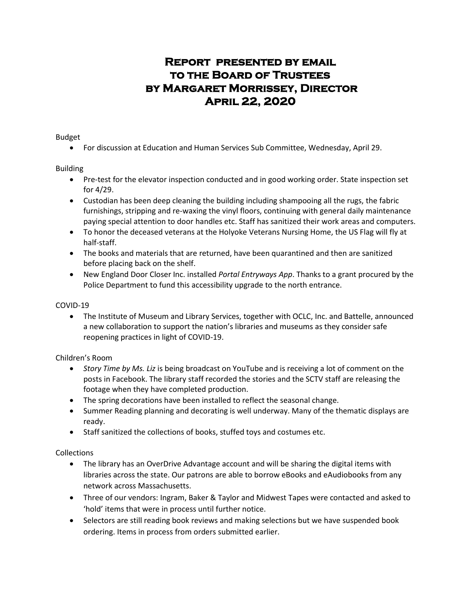# **Report presented by email to the Board of Trustees by Margaret Morrissey, Director April 22, 2020**

Budget

For discussion at Education and Human Services Sub Committee, Wednesday, April 29.

## Building

- Pre-test for the elevator inspection conducted and in good working order. State inspection set for 4/29.
- Custodian has been deep cleaning the building including shampooing all the rugs, the fabric furnishings, stripping and re-waxing the vinyl floors, continuing with general daily maintenance paying special attention to door handles etc. Staff has sanitized their work areas and computers.
- To honor the deceased veterans at the Holyoke Veterans Nursing Home, the US Flag will fly at half-staff.
- The books and materials that are returned, have been quarantined and then are sanitized before placing back on the shelf.
- New England Door Closer Inc. installed *Portal Entryways App*. Thanks to a grant procured by the Police Department to fund this accessibility upgrade to the north entrance.

## COVID-19

 The Institute of Museum and Library Services, together with OCLC, Inc. and Battelle, announced a new collaboration to support the nation's libraries and museums as they consider safe reopening practices in light of COVID-19.

## Children's Room

- *Story Time by Ms. Liz* is being broadcast on YouTube and is receiving a lot of comment on the posts in Facebook. The library staff recorded the stories and the SCTV staff are releasing the footage when they have completed production.
- The spring decorations have been installed to reflect the seasonal change.
- Summer Reading planning and decorating is well underway. Many of the thematic displays are ready.
- Staff sanitized the collections of books, stuffed toys and costumes etc.

## Collections

- The library has an OverDrive Advantage account and will be sharing the digital items with libraries across the state. Our patrons are able to borrow eBooks and eAudiobooks from any network across Massachusetts.
- Three of our vendors: Ingram, Baker & Taylor and Midwest Tapes were contacted and asked to 'hold' items that were in process until further notice.
- Selectors are still reading book reviews and making selections but we have suspended book ordering. Items in process from orders submitted earlier.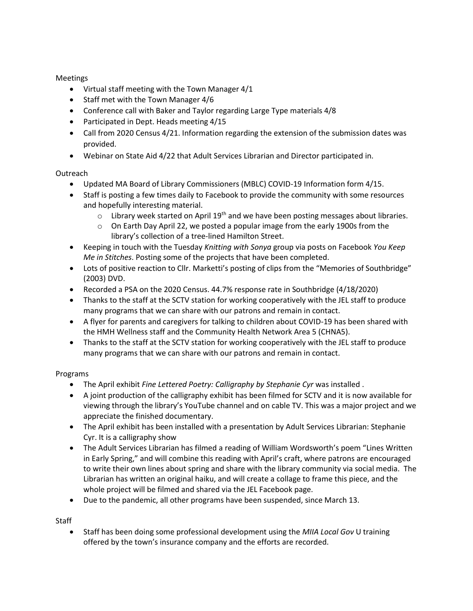### Meetings

- Virtual staff meeting with the Town Manager 4/1
- Staff met with the Town Manager 4/6
- Conference call with Baker and Taylor regarding Large Type materials 4/8
- Participated in Dept. Heads meeting 4/15
- Call from 2020 Census 4/21. Information regarding the extension of the submission dates was provided.
- Webinar on State Aid 4/22 that Adult Services Librarian and Director participated in.

## Outreach

- Updated MA Board of Library Commissioners (MBLC) COVID-19 Information form 4/15.
- Staff is posting a few times daily to Facebook to provide the community with some resources and hopefully interesting material.
	- $\circ$  Library week started on April 19<sup>th</sup> and we have been posting messages about libraries.
	- $\circ$  On Earth Day April 22, we posted a popular image from the early 1900s from the library's collection of a tree-lined Hamilton Street.
- Keeping in touch with the Tuesday *Knitting with Sonya* group via posts on Facebook *You Keep Me in Stitches*. Posting some of the projects that have been completed.
- Lots of positive reaction to Cllr. Marketti's posting of clips from the "Memories of Southbridge" (2003) DVD.
- Recorded a PSA on the 2020 Census. 44.7% response rate in Southbridge (4/18/2020)
- Thanks to the staff at the SCTV station for working cooperatively with the JEL staff to produce many programs that we can share with our patrons and remain in contact.
- A flyer for parents and caregivers for talking to children about COVID-19 has been shared with the HMH Wellness staff and the Community Health Network Area 5 (CHNA5).
- Thanks to the staff at the SCTV station for working cooperatively with the JEL staff to produce many programs that we can share with our patrons and remain in contact.

## Programs

- The April exhibit *Fine Lettered Poetry: Calligraphy by Stephanie Cyr* was installed .
- A joint production of the calligraphy exhibit has been filmed for SCTV and it is now available for viewing through the library's YouTube channel and on cable TV. This was a major project and we appreciate the finished documentary.
- The April exhibit has been installed with a presentation by Adult Services Librarian: Stephanie Cyr. It is a calligraphy show
- The Adult Services Librarian has filmed a reading of William Wordsworth's poem "Lines Written" in Early Spring," and will combine this reading with April's craft, where patrons are encouraged to write their own lines about spring and share with the library community via social media. The Librarian has written an original haiku, and will create a collage to frame this piece, and the whole project will be filmed and shared via the JEL Facebook page.
- Due to the pandemic, all other programs have been suspended, since March 13.

**Staff** 

 Staff has been doing some professional development using the *MIIA Local Gov* U training offered by the town's insurance company and the efforts are recorded.